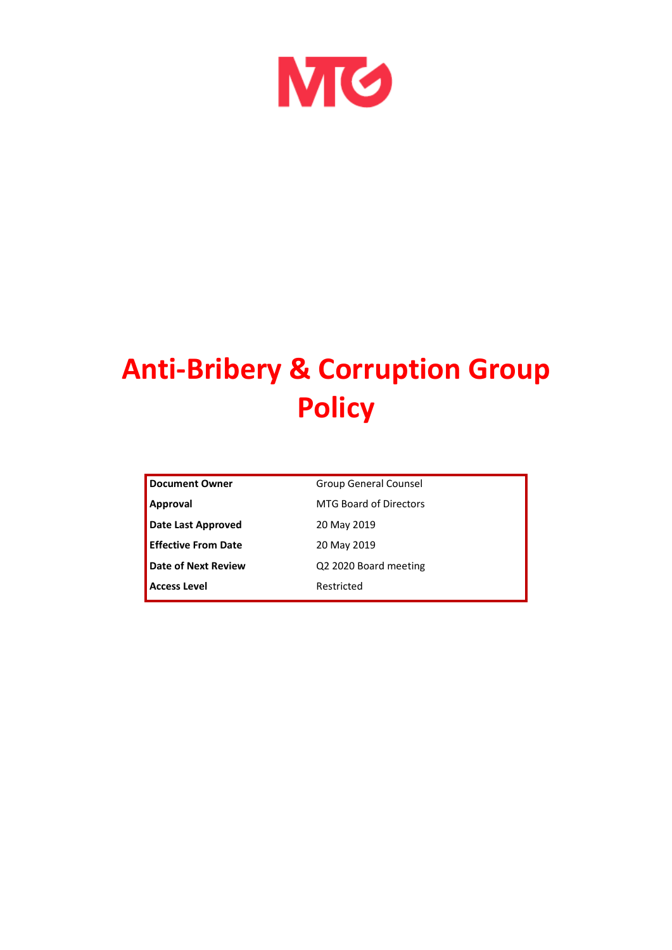

# **Anti-Bribery & Corruption Group Policy**

| Document Owner             | <b>Group General Counsel</b>  |
|----------------------------|-------------------------------|
| Approval                   | <b>MTG Board of Directors</b> |
| Date Last Approved         | 20 May 2019                   |
| <b>Effective From Date</b> | 20 May 2019                   |
| <b>Date of Next Review</b> | Q2 2020 Board meeting         |
| <b>Access Level</b>        | Restricted                    |
|                            |                               |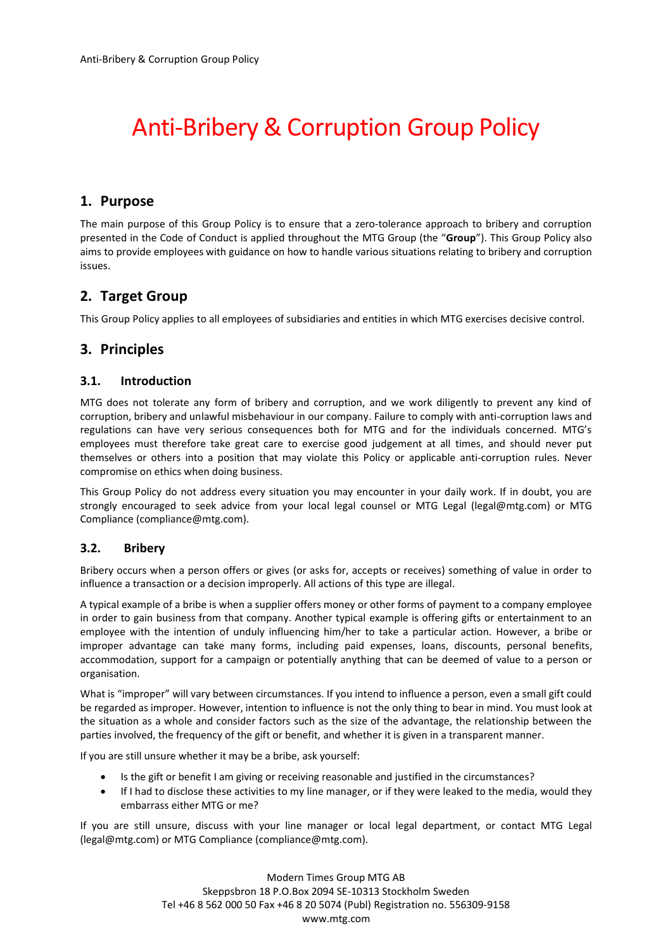## Anti-Bribery & Corruption Group Policy

#### **1. Purpose**

The main purpose of this Group Policy is to ensure that a zero-tolerance approach to bribery and corruption presented in the Code of Conduct is applied throughout the MTG Group (the "**Group**"). This Group Policy also aims to provide employees with guidance on how to handle various situations relating to bribery and corruption issues.

#### **2. Target Group**

This Group Policy applies to all employees of subsidiaries and entities in which MTG exercises decisive control.

#### **3. Principles**

#### **3.1. Introduction**

MTG does not tolerate any form of bribery and corruption, and we work diligently to prevent any kind of corruption, bribery and unlawful misbehaviour in our company. Failure to comply with anti-corruption laws and regulations can have very serious consequences both for MTG and for the individuals concerned. MTG's employees must therefore take great care to exercise good judgement at all times, and should never put themselves or others into a position that may violate this Policy or applicable anti-corruption rules. Never compromise on ethics when doing business.

This Group Policy do not address every situation you may encounter in your daily work. If in doubt, you are strongly encouraged to seek advice from your local legal counsel or MTG Legal (legal@mtg.com) or MTG Compliance (compliance@mtg.com).

#### **3.2. Bribery**

Bribery occurs when a person offers or gives (or asks for, accepts or receives) something of value in order to influence a transaction or a decision improperly. All actions of this type are illegal.

A typical example of a bribe is when a supplier offers money or other forms of payment to a company employee in order to gain business from that company. Another typical example is offering gifts or entertainment to an employee with the intention of unduly influencing him/her to take a particular action. However, a bribe or improper advantage can take many forms, including paid expenses, loans, discounts, personal benefits, accommodation, support for a campaign or potentially anything that can be deemed of value to a person or organisation.

What is "improper" will vary between circumstances. If you intend to influence a person, even a small gift could be regarded as improper. However, intention to influence is not the only thing to bear in mind. You must look at the situation as a whole and consider factors such as the size of the advantage, the relationship between the parties involved, the frequency of the gift or benefit, and whether it is given in a transparent manner.

If you are still unsure whether it may be a bribe, ask yourself:

- Is the gift or benefit I am giving or receiving reasonable and justified in the circumstances?
- If I had to disclose these activities to my line manager, or if they were leaked to the media, would they embarrass either MTG or me?

If you are still unsure, discuss with your line manager or local legal department, or contact MTG Legal (legal@mtg.com) or MTG Compliance (compliance@mtg.com).

> Modern Times Group MTG AB Skeppsbron 18 P.O.Box 2094 SE-10313 Stockholm Sweden Tel +46 8 562 000 50 Fax +46 8 20 5074 (Publ) Registration no. 556309-9158 www.mtg.com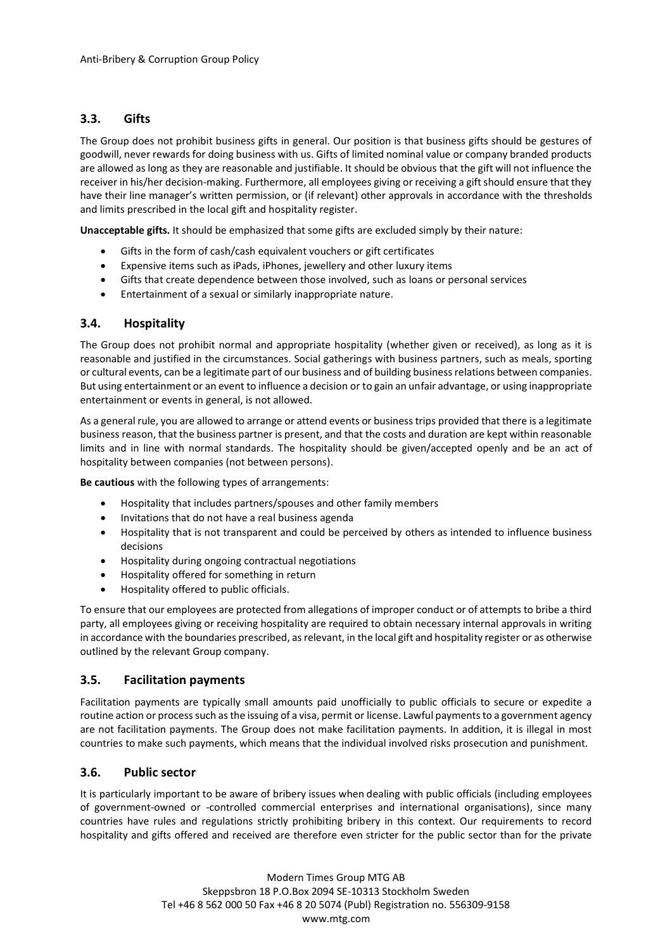#### **3.3. Gifts**

The Group does not prohibit business gifts in general. Our position is that business gifts should be gestures of goodwill, never rewards for doing business with us. Gifts of limited nominal value or company branded products are allowed as long as they are reasonable and justifiable. It should be obvious that the gift will not influence the receiver in his/her decision-making. Furthermore, all employees giving or receiving a gift should ensure that they have their line manager's written permission, or (if relevant) other approvals in accordance with the thresholds and limits prescribed in the local gift and hospitality register.

**Unacceptable gifts.** It should be emphasized that some gifts are excluded simply by their nature:

- Gifts in the form of cash/cash equivalent vouchers or gift certificates
- Expensive items such as iPads, iPhones, jewellery and other luxury items
- Gifts that create dependence between those involved, such as loans or personal services
- Entertainment of a sexual or similarly inappropriate nature.

#### **3.4. Hospitality**

The Group does not prohibit normal and appropriate hospitality (whether given or received), as long as it is reasonable and justified in the circumstances. Social gatherings with business partners, such as meals, sporting or cultural events, can be a legitimate part of our business and of building business relations between companies. But using entertainment or an event to influence a decision or to gain an unfair advantage, or using inappropriate entertainment or events in general, is not allowed.

As a general rule, you are allowed to arrange or attend events or business trips provided that there is a legitimate business reason, that the business partner is present, and that the costs and duration are kept within reasonable limits and in line with normal standards. The hospitality should be given/accepted openly and be an act of hospitality between companies (not between persons).

**Be cautious** with the following types of arrangements:

- Hospitality that includes partners/spouses and other family members
- Invitations that do not have a real business agenda
- Hospitality that is not transparent and could be perceived by others as intended to influence business decisions
- Hospitality during ongoing contractual negotiations
- Hospitality offered for something in return
- Hospitality offered to public officials.

To ensure that our employees are protected from allegations of improper conduct or of attempts to bribe a third party, all employees giving or receiving hospitality are required to obtain necessary internal approvals in writing in accordance with the boundaries prescribed, as relevant, in the local gift and hospitality register or as otherwise outlined by the relevant Group company.

#### **3.5. Facilitation payments**

Facilitation payments are typically small amounts paid unofficially to public officials to secure or expedite a routine action or process such as the issuing of a visa, permit or license. Lawful payments to a government agency are not facilitation payments. The Group does not make facilitation payments. In addition, it is illegal in most countries to make such payments, which means that the individual involved risks prosecution and punishment.

#### **3.6. Public sector**

It is particularly important to be aware of bribery issues when dealing with public officials (including employees of government-owned or -controlled commercial enterprises and international organisations), since many countries have rules and regulations strictly prohibiting bribery in this context. Our requirements to record hospitality and gifts offered and received are therefore even stricter for the public sector than for the private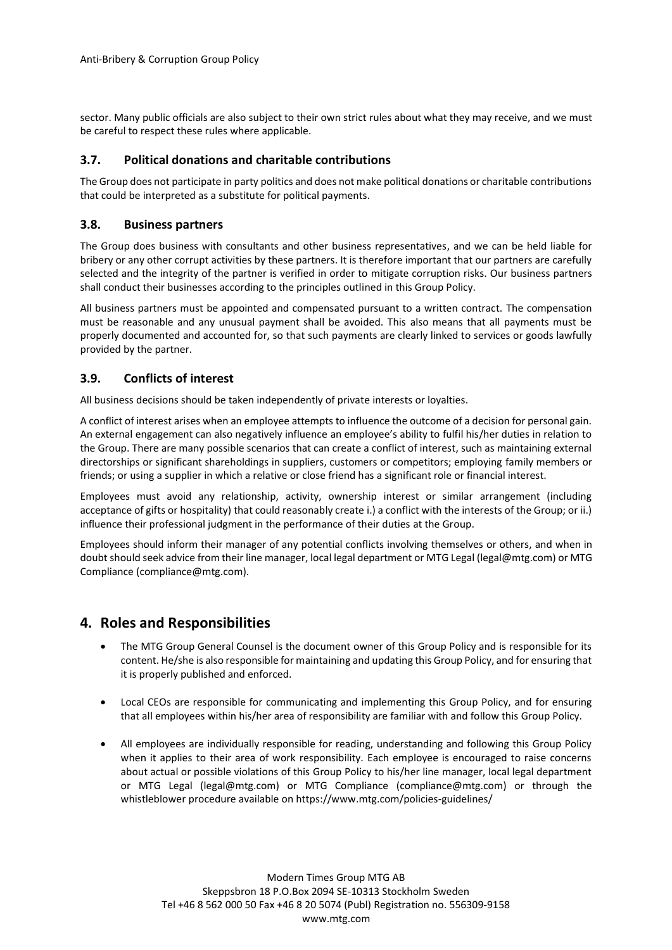sector. Many public officials are also subject to their own strict rules about what they may receive, and we must be careful to respect these rules where applicable.

#### **3.7. Political donations and charitable contributions**

The Group does not participate in party politics and does not make political donations or charitable contributions that could be interpreted as a substitute for political payments.

#### **3.8. Business partners**

The Group does business with consultants and other business representatives, and we can be held liable for bribery or any other corrupt activities by these partners. It is therefore important that our partners are carefully selected and the integrity of the partner is verified in order to mitigate corruption risks. Our business partners shall conduct their businesses according to the principles outlined in this Group Policy.

All business partners must be appointed and compensated pursuant to a written contract. The compensation must be reasonable and any unusual payment shall be avoided. This also means that all payments must be properly documented and accounted for, so that such payments are clearly linked to services or goods lawfully provided by the partner.

#### **3.9. Conflicts of interest**

All business decisions should be taken independently of private interests or loyalties.

A conflict of interest arises when an employee attempts to influence the outcome of a decision for personal gain. An external engagement can also negatively influence an employee's ability to fulfil his/her duties in relation to the Group. There are many possible scenarios that can create a conflict of interest, such as maintaining external directorships or significant shareholdings in suppliers, customers or competitors; employing family members or friends; or using a supplier in which a relative or close friend has a significant role or financial interest.

Employees must avoid any relationship, activity, ownership interest or similar arrangement (including acceptance of gifts or hospitality) that could reasonably create i.) a conflict with the interests of the Group; or ii.) influence their professional judgment in the performance of their duties at the Group.

Employees should inform their manager of any potential conflicts involving themselves or others, and when in doubt should seek advice from their line manager, local legal department or MTG Legal (legal@mtg.com) or MTG Compliance (compliance@mtg.com).

#### **4. Roles and Responsibilities**

- The MTG Group General Counsel is the document owner of this Group Policy and is responsible for its content. He/she is also responsible for maintaining and updating this Group Policy, and for ensuring that it is properly published and enforced.
- Local CEOs are responsible for communicating and implementing this Group Policy, and for ensuring that all employees within his/her area of responsibility are familiar with and follow this Group Policy.
- All employees are individually responsible for reading, understanding and following this Group Policy when it applies to their area of work responsibility. Each employee is encouraged to raise concerns about actual or possible violations of this Group Policy to his/her line manager, local legal department or MTG Legal (legal@mtg.com) or MTG Compliance (compliance@mtg.com) or through the whistleblower procedure available on https://www.mtg.com/policies-guidelines/